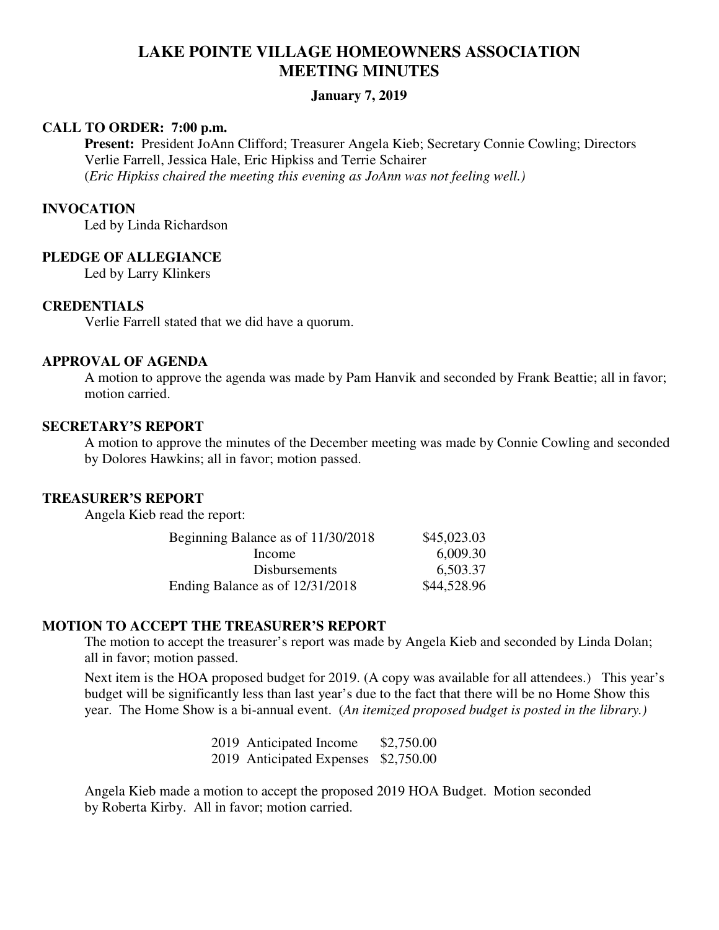# **LAKE POINTE VILLAGE HOMEOWNERS ASSOCIATION MEETING MINUTES**

# **January 7, 2019**

### **CALL TO ORDER: 7:00 p.m.**

 **Present:** President JoAnn Clifford; Treasurer Angela Kieb; Secretary Connie Cowling; Directors Verlie Farrell, Jessica Hale, Eric Hipkiss and Terrie Schairer (*Eric Hipkiss chaired the meeting this evening as JoAnn was not feeling well.)* 

### **INVOCATION**

Led by Linda Richardson

### **PLEDGE OF ALLEGIANCE**

Led by Larry Klinkers

# **CREDENTIALS**

Verlie Farrell stated that we did have a quorum.

### **APPROVAL OF AGENDA**

A motion to approve the agenda was made by Pam Hanvik and seconded by Frank Beattie; all in favor; motion carried.

### **SECRETARY'S REPORT**

A motion to approve the minutes of the December meeting was made by Connie Cowling and seconded by Dolores Hawkins; all in favor; motion passed.

### **TREASURER'S REPORT**

Angela Kieb read the report:

| Beginning Balance as of 11/30/2018 | \$45,023.03 |
|------------------------------------|-------------|
| Income                             | 6,009.30    |
| <b>Disbursements</b>               | 6,503.37    |
| Ending Balance as of 12/31/2018    | \$44,528.96 |

# **MOTION TO ACCEPT THE TREASURER'S REPORT**

The motion to accept the treasurer's report was made by Angela Kieb and seconded by Linda Dolan; all in favor; motion passed.

 Next item is the HOA proposed budget for 2019. (A copy was available for all attendees.) This year's budget will be significantly less than last year's due to the fact that there will be no Home Show this year. The Home Show is a bi-annual event. (*An itemized proposed budget is posted in the library.)* 

> 2019 Anticipated Income \$2,750.00 2019 Anticipated Expenses \$2,750.00

 Angela Kieb made a motion to accept the proposed 2019 HOA Budget. Motion seconded by Roberta Kirby. All in favor; motion carried.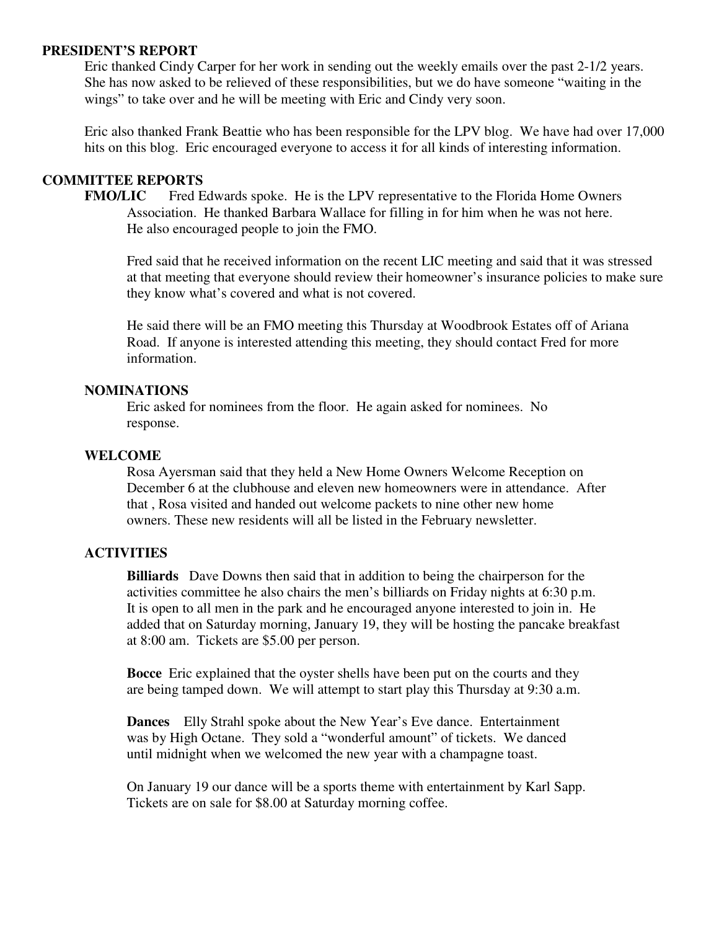#### **PRESIDENT'S REPORT**

Eric thanked Cindy Carper for her work in sending out the weekly emails over the past 2-1/2 years. She has now asked to be relieved of these responsibilities, but we do have someone "waiting in the wings" to take over and he will be meeting with Eric and Cindy very soon.

 Eric also thanked Frank Beattie who has been responsible for the LPV blog. We have had over 17,000 hits on this blog. Eric encouraged everyone to access it for all kinds of interesting information.

### **COMMITTEE REPORTS**

**FMO/LIC** Fred Edwards spoke. He is the LPV representative to the Florida Home Owners Association. He thanked Barbara Wallace for filling in for him when he was not here. He also encouraged people to join the FMO.

 Fred said that he received information on the recent LIC meeting and said that it was stressed at that meeting that everyone should review their homeowner's insurance policies to make sure they know what's covered and what is not covered.

 He said there will be an FMO meeting this Thursday at Woodbrook Estates off of Ariana Road. If anyone is interested attending this meeting, they should contact Fred for more information.

### **NOMINATIONS**

 Eric asked for nominees from the floor. He again asked for nominees. No response.

### **WELCOME**

Rosa Ayersman said that they held a New Home Owners Welcome Reception on December 6 at the clubhouse and eleven new homeowners were in attendance. After that , Rosa visited and handed out welcome packets to nine other new home owners. These new residents will all be listed in the February newsletter.

#### **ACTIVITIES**

 **Billiards** Dave Downs then said that in addition to being the chairperson for the activities committee he also chairs the men's billiards on Friday nights at 6:30 p.m. It is open to all men in the park and he encouraged anyone interested to join in. He added that on Saturday morning, January 19, they will be hosting the pancake breakfast at 8:00 am. Tickets are \$5.00 per person.

 **Bocce** Eric explained that the oyster shells have been put on the courts and they are being tamped down. We will attempt to start play this Thursday at 9:30 a.m.

 **Dances** Elly Strahl spoke about the New Year's Eve dance. Entertainment was by High Octane. They sold a "wonderful amount" of tickets. We danced until midnight when we welcomed the new year with a champagne toast.

 On January 19 our dance will be a sports theme with entertainment by Karl Sapp. Tickets are on sale for \$8.00 at Saturday morning coffee.